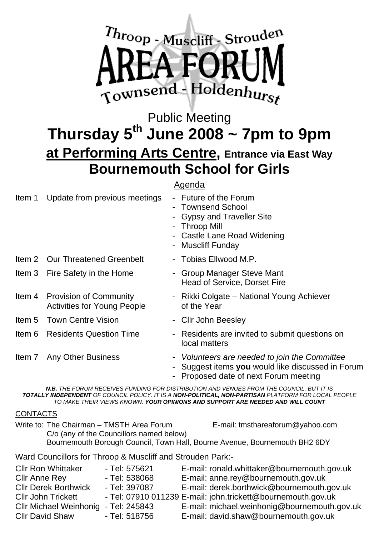

### Public Meeting Thursday  $5<sup>th</sup>$  June 2008  $\sim$  7pm to 9pm **at Performing Arts Centre, Entrance via East Way Bournemouth School for Girls**

### Agenda

| ltem 1 | Update from previous meetings                                       | - Future of the Forum<br>- Townsend School<br>- Gypsy and Traveller Site<br>- Throop Mill<br>- Castle Lane Road Widening<br>- Muscliff Funday |
|--------|---------------------------------------------------------------------|-----------------------------------------------------------------------------------------------------------------------------------------------|
|        | Item 2 Our Threatened Greenbelt                                     | - Tobias Ellwood M.P.                                                                                                                         |
|        | Item 3 Fire Safety in the Home                                      | - Group Manager Steve Mant<br><b>Head of Service, Dorset Fire</b>                                                                             |
|        | Item 4 Provision of Community<br><b>Activities for Young People</b> | - Rikki Colgate – National Young Achiever<br>of the Year                                                                                      |
|        | <b>Item 5 Town Centre Vision</b>                                    | - Cllr John Beesley                                                                                                                           |
| ltem 6 | <b>Residents Question Time</b>                                      | - Residents are invited to submit questions on<br>local matters                                                                               |
| Item 7 | <b>Any Other Business</b>                                           | - Volunteers are needed to join the Committee<br>- Suggest items you would like discussed in Forum                                            |

- Proposed date of next Forum meeting

*N.B. THE FORUM RECEIVES FUNDING FOR DISTRIBUTION AND VENUES FROM THE COUNCIL, BUT IT IS TOTALLY INDEPENDENT OF COUNCIL POLICY. IT IS A NON-POLITICAL, NON-PARTISAN PLATFORM FOR LOCAL PEOPLE TO MAKE THEIR VIEWS KNOWN. YOUR OPINIONS AND SUPPORT ARE NEEDED AND WILL COUNT*

#### CONTACTS

| Write to: The Chairman - TMSTH Area Forum                                                                              |                | E-mail: tmsthareaforum@yahoo.com            |  |  |  |
|------------------------------------------------------------------------------------------------------------------------|----------------|---------------------------------------------|--|--|--|
| C/o (any of the Councillors named below)<br>Bournemouth Borough Council, Town Hall, Bourne Avenue, Bournemouth BH2 6DY |                |                                             |  |  |  |
| Ward Councillors for Throop & Muscliff and Strouden Park:-                                                             |                |                                             |  |  |  |
| <b>CIIr Ron Whittaker</b>                                                                                              | - Tel: 575621  | E-mail: ronald.whittaker@bournemouth.gov.uk |  |  |  |
| $Q  u \wedge u \wedge w \wedge w \wedge u$                                                                             | $T2L1 E200000$ | $\Gamma$ moil anno roughournomouth gou uk   |  |  |  |

| <b>CIII RON VVNITTAKET</b>           | - Tel: 5756ZT | E-mail: ronald.whittaker@bournemouth.gov.uk                  |
|--------------------------------------|---------------|--------------------------------------------------------------|
| Cllr Anne Rey                        | - Tel: 538068 | E-mail: anne.rey@bournemouth.gov.uk                          |
| <b>Cllr Derek Borthwick</b>          | - Tel: 397087 | E-mail: derek.borthwick@bournemouth.gov.uk                   |
| <b>Cllr John Trickett</b>            |               | - Tel: 07910 011239 E-mail: john.trickett@bournemouth.gov.uk |
| Cllr Michael Weinhonig - Tel: 245843 |               | E-mail: michael.weinhonig@bournemouth.gov.uk                 |
| <b>Cllr David Shaw</b>               | - Tel: 518756 | E-mail: david.shaw@bournemouth.gov.uk                        |
|                                      |               |                                                              |